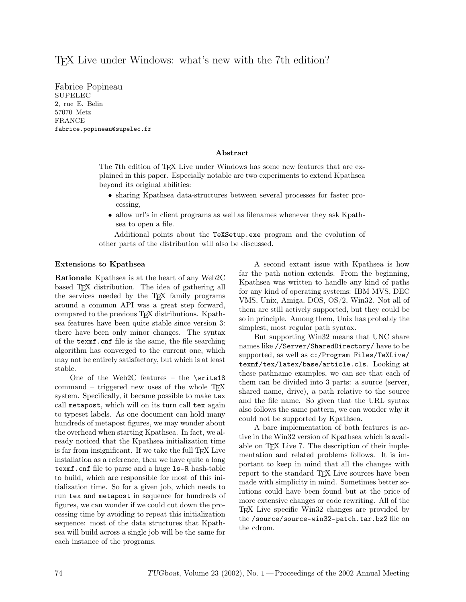# T<sub>EX</sub> Live under Windows: what's new with the 7<sup>th</sup> edition?

Fabrice Popineau SUPELEC 2, rue E. Belin 57070 Metz FRANCE fabrice.popineau@supelec.fr

## Abstract

The 7th edition of TEX Live under Windows has some new features that are explained in this paper. Especially notable are two experiments to extend Kpathsea beyond its original abilities:

- sharing Kpathsea data-structures between several processes for faster processing,
- allow url's in client programs as well as filenames whenever they ask Kpathsea to open a file.

Additional points about the TeXSetup.exe program and the evolution of other parts of the distribution will also be discussed.

#### Extensions to Kpathsea

Rationale Kpathsea is at the heart of any Web2C based T<sub>F</sub>X distribution. The idea of gathering all the services needed by the TEX family programs around a common API was a great step forward, compared to the previous TEX distributions. Kpathsea features have been quite stable since version 3: there have been only minor changes. The syntax of the texmf.cnf file is the same, the file searching algorithm has converged to the current one, which may not be entirely satisfactory, but which is at least stable.

One of the Web2C features – the \write18 command – triggered new uses of the whole  $T_F X$ system. Specifically, it became possible to make tex call metapost, which will on its turn call tex again to typeset labels. As one document can hold many hundreds of metapost figures, we may wonder about the overhead when starting Kpathsea. In fact, we already noticed that the Kpathsea initialization time is far from insignificant. If we take the full T<sub>EX</sub> Live installation as a reference, then we have quite a long texmf.cnf file to parse and a huge ls-R hash-table to build, which are responsible for most of this initialization time. So for a given job, which needs to run tex and metapost in sequence for hundreds of figures, we can wonder if we could cut down the processing time by avoiding to repeat this initialization sequence: most of the data structures that Kpathsea will build across a single job will be the same for each instance of the programs.

A second extant issue with Kpathsea is how far the path notion extends. From the beginning, Kpathsea was written to handle any kind of paths for any kind of operating systems: IBM MVS, DEC VMS, Unix, Amiga, DOS, OS/2, Win32. Not all of them are still actively supported, but they could be so in principle. Among them, Unix has probably the simplest, most regular path syntax.

But supporting Win32 means that UNC share names like //Server/SharedDirectory/ have to be supported, as well as c:/Program Files/TeXLive/ texmf/tex/latex/base/article.cls. Looking at these pathname examples, we can see that each of them can be divided into 3 parts: a source (server, shared name, drive), a path relative to the source and the file name. So given that the URL syntax also follows the same pattern, we can wonder why it could not be supported by Kpathsea.

A bare implementation of both features is active in the Win32 version of Kpathsea which is available on TEX Live 7. The description of their implementation and related problems follows. It is important to keep in mind that all the changes with report to the standard T<sub>FX</sub>. Live sources have been made with simplicity in mind. Sometimes better solutions could have been found but at the price of more extensive changes or code rewriting. All of the TEX Live specific Win32 changes are provided by the /source/source-win32-patch.tar.bz2 file on the cdrom.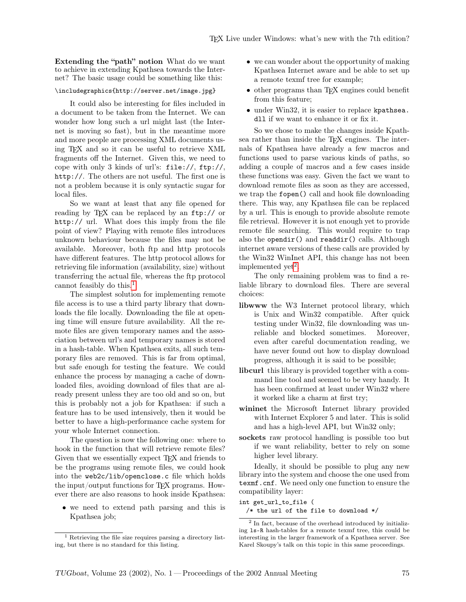Extending the "path" notion What do we want to achieve in extending Kpathsea towards the Internet? The basic usage could be something like this:

#### \includegraphics{http://server.net/image.jpg}

It could also be interesting for files included in a document to be taken from the Internet. We can wonder how long such a url might last (the Internet is moving so fast), but in the meantime more and more people are processing XML documents using TEX and so it can be useful to retrieve XML fragments off the Internet. Given this, we need to cope with only 3 kinds of url's: file://, ftp://, http://. The others are not useful. The first one is not a problem because it is only syntactic sugar for local files.

So we want at least that any file opened for reading by T<sub>F</sub>X can be replaced by an ftp:// or http:// url. What does this imply from the file point of view? Playing with remote files introduces unknown behaviour because the files may not be available. Moreover, both ftp and http protocols have different features. The http protocol allows for retrieving file information (availability, size) without transferring the actual file, whereas the ftp protocol cannot feasibly do this.<sup>[1](#page-1-0)</sup>

The simplest solution for implementing remote file access is to use a third party library that downloads the file locally. Downloading the file at opening time will ensure future availability. All the remote files are given temporary names and the association between url's and temporary names is stored in a hash-table. When Kpathsea exits, all such temporary files are removed. This is far from optimal, but safe enough for testing the feature. We could enhance the process by managing a cache of downloaded files, avoiding download of files that are already present unless they are too old and so on, but this is probably not a job for Kpathsea: if such a feature has to be used intensively, then it would be better to have a high-performance cache system for your whole Internet connection.

The question is now the following one: where to hook in the function that will retrieve remote files? Given that we essentially expect TEX and friends to be the programs using remote files, we could hook into the web2c/lib/openclose.c file which holds the input/output functions for TEX programs. However there are also reasons to hook inside Kpathsea:

• we need to extend path parsing and this is Kpathsea job;

- we can wonder about the opportunity of making Kpathsea Internet aware and be able to set up a remote texmf tree for example;
- other programs than T<sub>E</sub>X engines could benefit from this feature;
- under Win32, it is easier to replace kpathsea. dll if we want to enhance it or fix it.

So we chose to make the changes inside Kpathsea rather than inside the T<sub>E</sub>X engines. The internals of Kpathsea have already a few macros and functions used to parse various kinds of paths, so adding a couple of macros and a few cases inside these functions was easy. Given the fact we want to download remote files as soon as they are accessed, we trap the fopen() call and hook file downloading there. This way, any Kpathsea file can be replaced by a url. This is enough to provide absolute remote file retrieval. However it is not enough yet to provide remote file searching. This would require to trap also the opendir() and readdir() calls. Although internet aware versions of these calls are provided by the Win32 WinInet API, this change has not been implemented  $yct^2$  $yct^2$ .

The only remaining problem was to find a reliable library to download files. There are several choices:

- libwww the W3 Internet protocol library, which is Unix and Win32 compatible. After quick testing under Win32, file downloading was unreliable and blocked sometimes. Moreover, even after careful documentation reading, we have never found out how to display download progress, although it is said to be possible;
- libcurl this library is provided together with a command line tool and seemed to be very handy. It has been confirmed at least under Win32 where it worked like a charm at first try;
- wininet the Microsoft Internet library provided with Internet Explorer 5 and later. This is solid and has a high-level API, but Win32 only;
- sockets raw protocol handling is possible too but if we want reliability, better to rely on some higher level library.

Ideally, it should be possible to plug any new library into the system and choose the one used from texmf.cnf. We need only one function to ensure the compatibility layer:

int get\_url\_to\_file (

/\* the url of the file to download \*/

<span id="page-1-0"></span><sup>1</sup> Retrieving the file size requires parsing a directory listing, but there is no standard for this listing.

<span id="page-1-1"></span><sup>2</sup> In fact, because of the overhead introduced by initializing ls-R hash-tables for a remote texmf tree, this could be interesting in the larger framework of a Kpathsea server. See Karel Skoupy's talk on this topic in this same proceedings.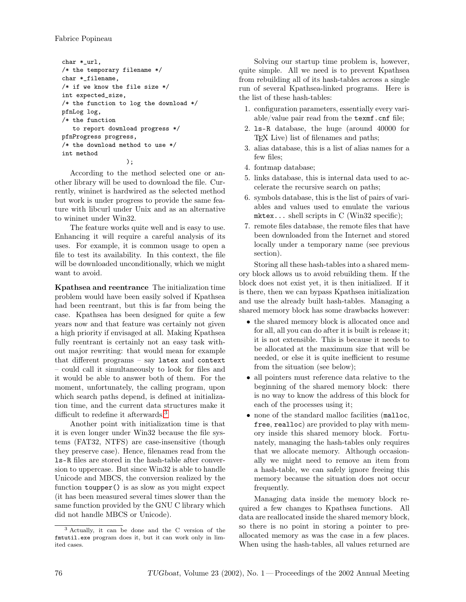```
char *_url,
/* the temporary filename */
char *_filename,
/* if we know the file size */
int expected_size,
/* the function to log the download */
pfnLog log,
/* the function
   to report download progress */
pfnProgress progress,
/* the download method to use */
int method
                  );
```
According to the method selected one or another library will be used to download the file. Currently, wininet is hardwired as the selected method but work is under progress to provide the same feature with libcurl under Unix and as an alternative to wininet under Win32.

The feature works quite well and is easy to use. Enhancing it will require a careful analysis of its uses. For example, it is common usage to open a file to test its availability. In this context, the file will be downloaded unconditionally, which we might want to avoid.

Kpathsea and reentrance The initialization time problem would have been easily solved if Kpathsea had been reentrant, but this is far from being the case. Kpathsea has been designed for quite a few years now and that feature was certainly not given a high priority if envisaged at all. Making Kpathsea fully reentrant is certainly not an easy task without major rewriting: that would mean for example that different programs – say latex and context – could call it simultaneously to look for files and it would be able to answer both of them. For the moment, unfortunately, the calling program, upon which search paths depend, is defined at initialization time, and the current data structures make it difficult to redefine it afterwards.<sup>[3](#page-2-0)</sup>

Another point with initialization time is that it is even longer under Win32 because the file systems (FAT32, NTFS) are case-insensitive (though they preserve case). Hence, filenames read from the ls-R files are stored in the hash-table after conversion to uppercase. But since Win32 is able to handle Unicode and MBCS, the conversion realized by the function toupper() is as slow as you might expect (it has been measured several times slower than the same function provided by the GNU C library which did not handle MBCS or Unicode).

Solving our startup time problem is, however, quite simple. All we need is to prevent Kpathsea from rebuilding all of its hash-tables across a single run of several Kpathsea-linked programs. Here is the list of these hash-tables:

- 1. configuration parameters, essentially every variable/value pair read from the texmf.cnf file;
- 2. ls-R database, the huge (around 40000 for TEX Live) list of filenames and paths;
- 3. alias database, this is a list of alias names for a few files;
- 4. fontmap database;
- 5. links database, this is internal data used to accelerate the recursive search on paths;
- 6. symbols database, this is the list of pairs of variables and values used to emulate the various mktex... shell scripts in C (Win32 specific);
- 7. remote files database, the remote files that have been downloaded from the Internet and stored locally under a temporary name (see previous section).

Storing all these hash-tables into a shared memory block allows us to avoid rebuilding them. If the block does not exist yet, it is then initialized. If it is there, then we can bypass Kpathsea initialization and use the already built hash-tables. Managing a shared memory block has some drawbacks however:

- the shared memory block is allocated once and for all, all you can do after it is built is release it; it is not extensible. This is because it needs to be allocated at the maximum size that will be needed, or else it is quite inefficient to resume from the situation (see below);
- all pointers must reference data relative to the beginning of the shared memory block: there is no way to know the address of this block for each of the processes using it;
- none of the standard malloc facilities (malloc, free, realloc) are provided to play with memory inside this shared memory block. Fortunately, managing the hash-tables only requires that we allocate memory. Although occasionally we might need to remove an item from a hash-table, we can safely ignore freeing this memory because the situation does not occur frequently.

Managing data inside the memory block required a few changes to Kpathsea functions. All data are reallocated inside the shared memory block, so there is no point in storing a pointer to preallocated memory as was the case in a few places. When using the hash-tables, all values returned are

<span id="page-2-0"></span><sup>3</sup> Actually, it can be done and the C version of the fmtutil.exe program does it, but it can work only in limited cases.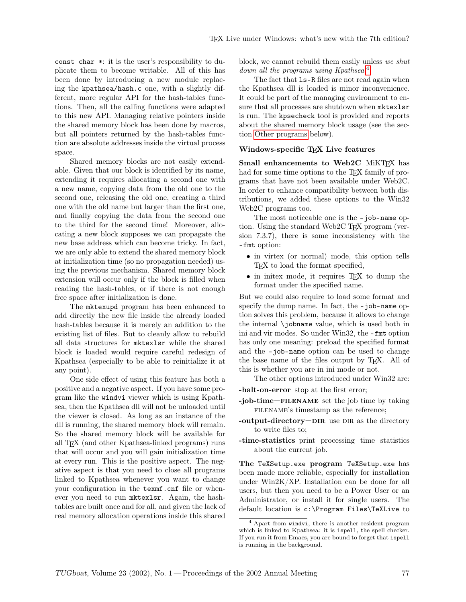const char \*: it is the user's responsibility to duplicate them to become writable. All of this has been done by introducing a new module replacing the kpathsea/hash.c one, with a slightly different, more regular API for the hash-tables functions. Then, all the calling functions were adapted to this new API. Managing relative pointers inside the shared memory block has been done by macros, but all pointers returned by the hash-tables function are absolute addresses inside the virtual process space.

Shared memory blocks are not easily extendable. Given that our block is identified by its name, extending it requires allocating a second one with a new name, copying data from the old one to the second one, releasing the old one, creating a third one with the old name but larger than the first one, and finally copying the data from the second one to the third for the second time! Moreover, allocating a new block supposes we can propagate the new base address which can become tricky. In fact, we are only able to extend the shared memory block at initialization time (so no propagation needed) using the previous mechanism. Shared memory block extension will occur only if the block is filled when reading the hash-tables, or if there is not enough free space after initialization is done.

The mktexupd program has been enhanced to add directly the new file inside the already loaded hash-tables because it is merely an addition to the existing list of files. But to cleanly allow to rebuild all data structures for mktexlsr while the shared block is loaded would require careful redesign of Kpathsea (especially to be able to reinitialize it at any point).

One side effect of using this feature has both a positive and a negative aspect. If you have some program like the windvi viewer which is using Kpathsea, then the Kpathsea dll will not be unloaded until the viewer is closed. As long as an instance of the dll is running, the shared memory block will remain. So the shared memory block will be available for all TEX (and other Kpathsea-linked programs) runs that will occur and you will gain initialization time at every run. This is the positive aspect. The negative aspect is that you need to close all programs linked to Kpathsea whenever you want to change your configuration in the texmf.cnf file or whenever you need to run mktexlsr. Again, the hashtables are built once and for all, and given the lack of real memory allocation operations inside this shared

block, we cannot rebuild them easily unless we shut down all the programs using Kpathsea.<sup>[4](#page-3-0)</sup>

The fact that ls-R files are not read again when the Kpathsea dll is loaded is minor inconvenience. It could be part of the managing environment to ensure that all processes are shutdown when mktexlsr is run. The kpsecheck tool is provided and reports about the shared memory block usage (see the section [Other programs](#page-4-0) below).

### Windows-specific TFX Live features

Small enhancements to Web2C MiKTFX has had for some time options to the T<sub>E</sub>X family of programs that have not been available under Web2C. In order to enhance compatibility between both distributions, we added these options to the Win32 Web2C programs too.

The most noticeable one is the -job-name option. Using the standard Web2C T<sub>EX</sub> program (version 7.3.7), there is some inconsistency with the -fmt option:

- in virtex (or normal) mode, this option tells TEX to load the format specified,
- in initex mode, it requires TEX to dump the format under the specified name.

But we could also require to load some format and specify the dump name. In fact, the -job-name option solves this problem, because it allows to change the internal \jobname value, which is used both in ini and vir modes. So under Win32, the -fmt option has only one meaning: preload the specified format and the -job-name option can be used to change the base name of the files output by TEX. All of this is whether you are in ini mode or not.

The other options introduced under Win32 are:

- -halt-on-error stop at the first error;
- -job-time=filename set the job time by taking FILENAME's timestamp as the reference;
- -output-directory= $DIR$  use DIR as the directory to write files to;
- -time-statistics print processing time statistics about the current job.

The TeXSetup.exe program TeXSetup.exe has been made more reliable, especially for installation under Win2K/XP. Installation can be done for all users, but then you need to be a Power User or an Administrator, or install it for single users. The default location is c:\Program Files\TeXLive to

<span id="page-3-0"></span><sup>4</sup> Apart from windvi, there is another resident program which is linked to Kpathsea: it is ispell, the spell checker. If you run it from Emacs, you are bound to forget that ispell is running in the background.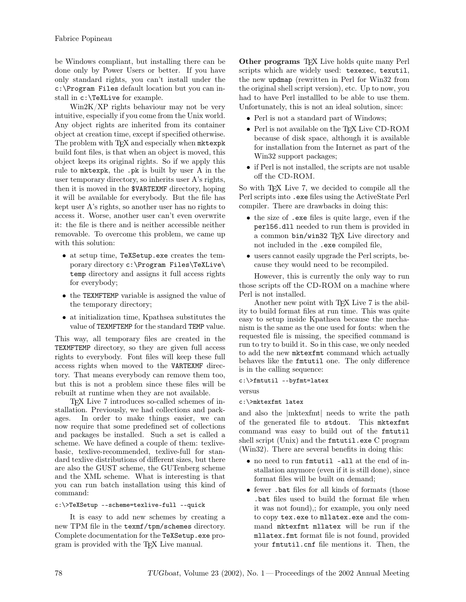be Windows compliant, but installing there can be done only by Power Users or better. If you have only standard rights, you can't install under the c:\Program Files default location but you can install in c:\TeXLive for example.

Win2K/XP rights behaviour may not be very intuitive, especially if you come from the Unix world. Any object rights are inherited from its container object at creation time, except if specified otherwise. The problem with TFX and especially when mktexpk build font files, is that when an object is moved, this object keeps its original rights. So if we apply this rule to mktexpk, the .pk is built by user A in the user temporary directory, so inherits user A's rights, then it is moved in the \$VARTEXMF directory, hoping it will be available for everybody. But the file has kept user A's rights, so another user has no rights to access it. Worse, another user can't even overwrite it: the file is there and is neither accessible neither removable. To overcome this problem, we came up with this solution:

- at setup time, TeXSetup.exe creates the temporary directory c:\Program Files\TeXLive\ temp directory and assigns it full access rights for everybody;
- the TEXMFTEMP variable is assigned the value of the temporary directory;
- at initialization time, Kpathsea substitutes the value of TEXMFTEMP for the standard TEMP value.

This way, all temporary files are created in the TEXMFTEMP directory, so they are given full access rights to everybody. Font files will keep these full access rights when moved to the VARTEXMF directory. That means everybody can remove them too, but this is not a problem since these files will be rebuilt at runtime when they are not available.

TEX Live 7 introduces so-called schemes of installation. Previously, we had collections and packages. In order to make things easier, we can now require that some predefined set of collections and packages be installed. Such a set is called a scheme. We have defined a couple of them: texlivebasic, texlive-recommended, texlive-full for standard texlive distributions of different sizes, but there are also the GUST scheme, the GUTenberg scheme and the XML scheme. What is interesting is that you can run batch installation using this kind of command:

## c:\>TeXSetup --scheme=texlive-full --quick

It is easy to add new schemes by creating a new TPM file in the texmf/tpm/schemes directory. Complete documentation for the TeXSetup.exe program is provided with the TEX Live manual.

<span id="page-4-0"></span>Other programs T<sub>E</sub>X Live holds quite many Perl scripts which are widely used: texexec, texutil, the new updmap (rewritten in Perl for Win32 from the original shell script version), etc. Up to now, you had to have Perl installled to be able to use them. Unfortunately, this is not an ideal solution, since:

- Perl is not a standard part of Windows;
- Perl is not available on the TEX Live CD-ROM because of disk space, although it is available for installation from the Internet as part of the Win32 support packages;
- if Perl is not installed, the scripts are not usable off the CD-ROM.

So with T<sub>EX</sub> Live 7, we decided to compile all the Perl scripts into .exe files using the ActiveState Perl compiler. There are drawbacks in doing this:

- the size of .exe files is quite large, even if the perl56.dll needed to run them is provided in a common bin/win32 TEX Live directory and not included in the .exe compiled file,
- users cannot easily upgrade the Perl scripts, because they would need to be recompiled.

However, this is currently the only way to run those scripts off the CD-ROM on a machine where Perl is not installed.

Another new point with T<sub>EX</sub> Live 7 is the ability to build format files at run time. This was quite easy to setup inside Kpathsea because the mechanism is the same as the one used for fonts: when the requested file is missing, the specified command is run to try to build it. So in this case, we only needed to add the new mktexfmt command which actually behaves like the fmtutil one. The only difference is in the calling sequence:

## c:\>fmtutil --byfmt=latex

versus

## c:\>mktexfmt latex

and also the |mktexfmt| needs to write the path of the generated file to stdout. This mktexfmt command was easy to build out of the fmtutil shell script (Unix) and the fmtutil.exe C program (Win32). There are several benefits in doing this:

- no need to run fmtutil –all at the end of installation anymore (even if it is still done), since format files will be built on demand;
- fewer .bat files for all kinds of formats (those .bat files used to build the format file when it was not found),; for example, you only need to copy tex.exe to mllatex.exe and the command mktexfmt mllatex will be run if the mllatex.fmt format file is not found, provided your fmtutil.cnf file mentions it. Then, the